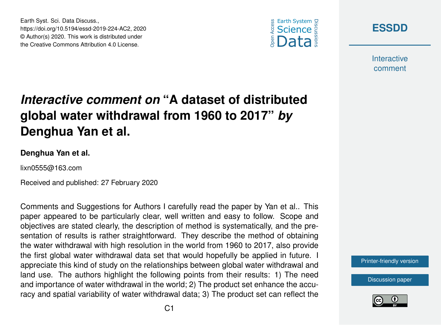





**Interactive** comment

## *Interactive comment on* **"A dataset of distributed global water withdrawal from 1960 to 2017"** *by* **Denghua Yan et al.**

## **Denghua Yan et al.**

lixn0555@163.com

Received and published: 27 February 2020

Comments and Suggestions for Authors I carefully read the paper by Yan et al.. This paper appeared to be particularly clear, well written and easy to follow. Scope and objectives are stated clearly, the description of method is systematically, and the presentation of results is rather straightforward. They describe the method of obtaining the water withdrawal with high resolution in the world from 1960 to 2017, also provide the first global water withdrawal data set that would hopefully be applied in future. I appreciate this kind of study on the relationships between global water withdrawal and land use. The authors highlight the following points from their results: 1) The need and importance of water withdrawal in the world; 2) The product set enhance the accuracy and spatial variability of water withdrawal data; 3) The product set can reflect the

[Printer-friendly version](https://www.earth-syst-sci-data-discuss.net/essd-2019-224/essd-2019-224-AC2-print.pdf)

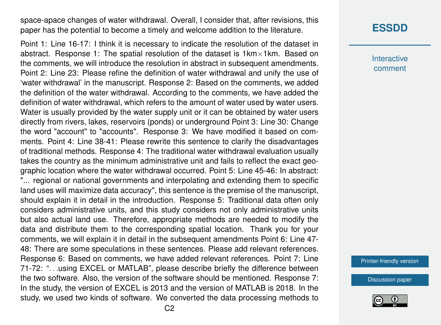space-apace changes of water withdrawal. Overall, I consider that, after revisions, this paper has the potential to become a timely and welcome addition to the literature.

Point 1: Line 16-17: I think it is necessary to indicate the resolution of the dataset in abstract. Response 1: The spatial resolution of the dataset is  $1km \times 1km$ . Based on the comments, we will introduce the resolution in abstract in subsequent amendments. Point 2: Line 23: Please refine the definition of water withdrawal and unify the use of 'water withdrawal' in the manuscript. Response 2: Based on the comments, we added the definition of the water withdrawal. According to the comments, we have added the definition of water withdrawal, which refers to the amount of water used by water users. Water is usually provided by the water supply unit or it can be obtained by water users directly from rivers, lakes, reservoirs (ponds) or underground Point 3: Line 30: Change the word "account" to "accounts". Response 3: We have modified it based on comments. Point 4: Line 38-41: Please rewrite this sentence to clarify the disadvantages of traditional methods. Response 4: The traditional water withdrawal evaluation usually takes the country as the minimum administrative unit and fails to reflect the exact geographic location where the water withdrawal occurred. Point 5: Line 45-46: In abstract: "... regional or national governments and interpolating and extending them to specific land uses will maximize data accuracy", this sentence is the premise of the manuscript, should explain it in detail in the introduction. Response 5: Traditional data often only considers administrative units, and this study considers not only administrative units but also actual land use. Therefore, appropriate methods are needed to modify the data and distribute them to the corresponding spatial location. Thank you for your comments, we will explain it in detail in the subsequent amendments Point 6: Line 47- 48: There are some speculations in these sentences. Please add relevant references. Response 6: Based on comments, we have added relevant references. Point 7: Line 71-72: ". . .using EXCEL or MATLAB", please describe briefly the difference between the two software. Also, the version of the software should be mentioned. Response 7: In the study, the version of EXCEL is 2013 and the version of MATLAB is 2018. In the study, we used two kinds of software. We converted the data processing methods to

**Interactive** comment

[Printer-friendly version](https://www.earth-syst-sci-data-discuss.net/essd-2019-224/essd-2019-224-AC2-print.pdf)

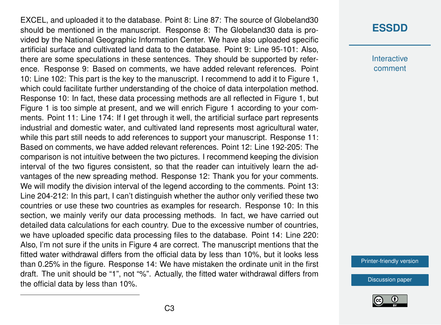EXCEL, and uploaded it to the database. Point 8: Line 87: The source of Globeland30 should be mentioned in the manuscript. Response 8: The Globeland30 data is provided by the National Geographic Information Center. We have also uploaded specific artificial surface and cultivated land data to the database. Point 9: Line 95-101: Also, there are some speculations in these sentences. They should be supported by reference. Response 9: Based on comments, we have added relevant references. Point 10: Line 102: This part is the key to the manuscript. I recommend to add it to Figure 1, which could facilitate further understanding of the choice of data interpolation method. Response 10: In fact, these data processing methods are all reflected in Figure 1, but Figure 1 is too simple at present, and we will enrich Figure 1 according to your comments. Point 11: Line 174: If I get through it well, the artificial surface part represents industrial and domestic water, and cultivated land represents most agricultural water, while this part still needs to add references to support your manuscript. Response 11: Based on comments, we have added relevant references. Point 12: Line 192-205: The comparison is not intuitive between the two pictures. I recommend keeping the division interval of the two figures consistent, so that the reader can intuitively learn the advantages of the new spreading method. Response 12: Thank you for your comments. We will modify the division interval of the legend according to the comments. Point 13: Line 204-212: In this part, I can't distinguish whether the author only verified these two countries or use these two countries as examples for research. Response 10: In this section, we mainly verify our data processing methods. In fact, we have carried out detailed data calculations for each country. Due to the excessive number of countries, we have uploaded specific data processing files to the database. Point 14: Line 220: Also, I'm not sure if the units in Figure 4 are correct. The manuscript mentions that the fitted water withdrawal differs from the official data by less than 10%, but it looks less than 0.25% in the figure. Response 14: We have mistaken the ordinate unit in the first draft. The unit should be "1", not "%". Actually, the fitted water withdrawal differs from the official data by less than 10%.

## **[ESSDD](https://www.earth-syst-sci-data-discuss.net/)**

**Interactive** comment

[Printer-friendly version](https://www.earth-syst-sci-data-discuss.net/essd-2019-224/essd-2019-224-AC2-print.pdf)